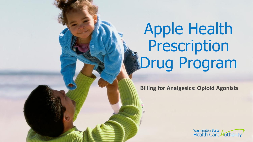# Apple Health Prescription **IDrug Program**

**Billing for Analgesics: Opioid Agonists** 

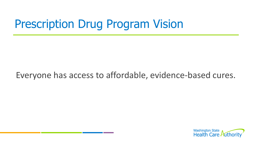# Prescription Drug Program Vision

#### Everyone has access to affordable, evidence-based cures.

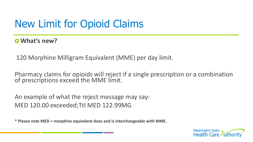### New Limit for Opioid Claims

**What's new?**

120 Morphine Milligram Equivalent (MME) per day limit.

Pharmacy claims for opioids will reject if a single prescription or a combination of prescriptions exceed the MME limit.

An example of what the reject message may say: MED 120.00 exceeded;Ttl MED 122.99MG

**\* Please note MED = morphine equivalent dose and is interchangeable with MME.** 

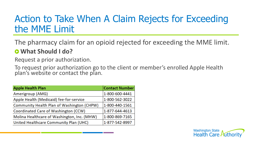### Action to Take When A Claim Rejects for Exceeding the MME Limit

The pharmacy claim for an opioid rejected for exceeding the MME limit.

#### **What Should I do?**

Request a prior authorization.

To request prior authorization go to the client or member's enrolled Apple Health plan's website or contact the plan.

| <b>Apple Health Plan</b>                    | <b>Contact Number</b> |
|---------------------------------------------|-----------------------|
| Amerigroup (AMG)                            | 1-800-600-4441        |
| Apple Health (Medicaid) fee-for-service     | 1-800-562-3022        |
| Community Health Plan of Washington (CHPW)  | 1-800-440-1561        |
| Coordinated Care of Washington (CCW)        | 1-877-644-4613        |
| Molina Healthcare of Washington, Inc. (MHW) | 1-800-869-7165        |
| United Healthcare Community Plan (UHC)      | 1-877-542-8997        |

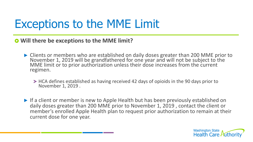# Exceptions to the MME Limit

 $\bullet$  Will there be exceptions to the MME limit?

- Clients or members who are established on daily doses greater than 200 MME prior to November 1, 2019 will be grandfathered for one year and will not be subject to the MME limit or to prior authorization unless their dose increases from the current regimen.
	- HCA defines established as having received 42 days of opioids in the 90 days prior to November 1, 2019 .
- If a client or member is new to Apple Health but has been previously established on daily doses greater than 200 MME prior to November 1, 2019 , contact the client or member's enrolled Apple Health plan to request prior authorization to remain at their current dose for one year.

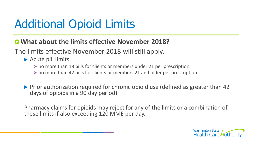# Additional Opioid Limits

**What about the limits effective November 2018?**

The limits effective November 2018 will still apply.

- ▶ Acute pill limits
	- no more than 18 pills for clients or members under 21 per prescription
	- no more than 42 pills for clients or members 21 and older per prescription
- ▶ Prior authorization required for chronic opioid use (defined as greater than 42 days of opioids in a 90 day period)

Pharmacy claims for opioids may reject for any of the limits or a combination of these limits if also exceeding 120 MME per day.

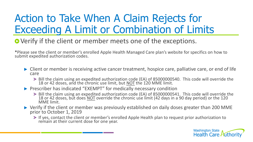### Action to Take When A Claim Rejects for Exceeding A Limit or Combination of Limits

#### **O** Verify if the client or member meets one of the exceptions.

**\***Please see the client or member's enrolled Apple Health Managed Care plan's website for specifics on how to submit expedited authorization codes.

- ▶ Client or member is receiving active cancer treatment, hospice care, palliative care, or end of life care
	- Bill the claim using an expedited authorization code (EA) of 85000000540. This code will override the 18 or 42 doses, and the chronic use limit, but **NOT** the 120 MME limit.
- **Prescriber has indicated "EXEMPT" for medically necessary condition** 
	- Bill the claim using an expedited authorization code (EA) of 85000000541. This code will override the 18 or 42 doses, but does NOT override the chronic use limit (42 days in a 90 day period) or the 120 MME limit.
- ▶ Verify if the client or member was previously established on daily doses greater than 200 MME prior to October 1, 2019
	- If yes, contact the client or member's enrolled Apple Health plan to request prior authorization to remain at their current dose for one year.

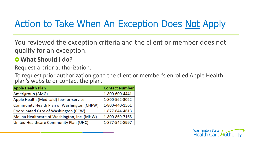### Action to Take When An Exception Does Not Apply

You reviewed the exception criteria and the client or member does not qualify for an exception.

#### **What Should I do?**

Request a prior authorization.

To request prior authorization go to the client or member's enrolled Apple Health plan's website or contact the plan.

| <b>Apple Health Plan</b>                    | <b>Contact Number</b> |
|---------------------------------------------|-----------------------|
| Amerigroup (AMG)                            | 1-800-600-4441        |
| Apple Health (Medicaid) fee-for-service     | 1-800-562-3022        |
| Community Health Plan of Washington (CHPW)  | 1-800-440-1561        |
| Coordinated Care of Washington (CCW)        | 1-877-644-4613        |
| Molina Healthcare of Washington, Inc. (MHW) | 1-800-869-7165        |
| United Healthcare Community Plan (UHC)      | 1-877-542-8997        |

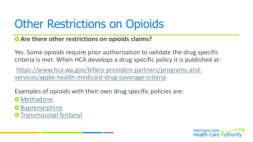# Other Restrictions on Opioids

#### **Are there other restrictions on opioids claims?**

Yes. Some opioids require prior authorization to validate the drug specific criteria is met. When HCA develops a drug specific policy it is published at:

[https://www.hca.wa.gov/billers-providers-partners/programs-and](https://www.hca.wa.gov/billers-providers-partners/programs-and-services/apple-health-medicaid-drug-coverage-criteria)services/apple-health-medicaid-drug-coverage-criteria

Examples of opioids with their own drug specific policies are:

- **O** [Methadone](https://www.hca.wa.gov/assets/billers-and-providers/Methadone.pdf)
- **O** [Buprenorphine](https://www.hca.wa.gov/assets/billers-and-providers/MAT_buprenorphine_products.pdf)
- **O** [Transmucosal fentanyl](https://www.hca.wa.gov/assets/billers-and-providers/transmucosal-fentanyl-products.pdf)

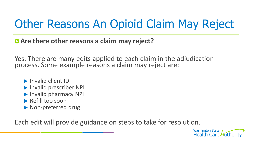# Other Reasons An Opioid Claim May Reject

**Are there other reasons a claim may reject?** 

Yes. There are many edits applied to each claim in the adjudication process. Some example reasons a claim may reject are:

- **Invalid client ID**
- **Invalid prescriber NPI**
- **Invalid pharmacy NPI**
- Refill too soon
- Mon-preferred drug

Each edit will provide guidance on steps to take for resolution.

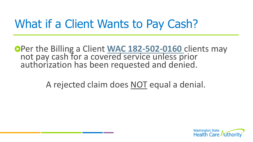### What if a Client Wants to Pay Cash?

Per the Billing a Client **[WAC 182-502-0160](https://apps.leg.wa.gov/WAC/default.aspx?cite=182-502-0160)** clients may not pay cash for a covered service unless prior authorization has been requested and denied.

A rejected claim does NOT equal a denial.